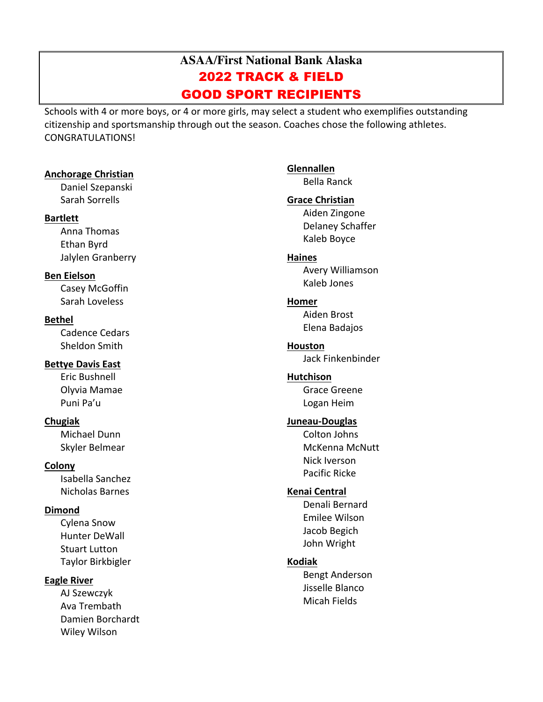# **ASAA/First National Bank Alaska** 2022 TRACK & FIELD GOOD SPORT RECIPIENTS

Schools with 4 or more boys, or 4 or more girls, may select a student who exemplifies outstanding citizenship and sportsmanship through out the season. Coaches chose the following athletes. CONGRATULATIONS!

#### **Anchorage Christian**

Daniel Szepanski Sarah Sorrells

#### **Bartlett**

Anna Thomas Ethan Byrd Jalylen Granberry

## **Ben Eielson**

Casey McGoffin Sarah Loveless

# **Bethel**

Cadence Cedars Sheldon Smith

# **Bettye Davis East**

Eric Bushnell Olyvia Mamae Puni Pa'u

# **Chugiak**

Michael Dunn Skyler Belmear

# **Colony**

Isabella Sanchez Nicholas Barnes

# **Dimond**

Cylena Snow Hunter DeWall Stuart Lutton Taylor Birkbigler

# **Eagle River**

AJ Szewczyk Ava Trembath Damien Borchardt Wiley Wilson

**Glennallen** Bella Ranck **Grace Christian** Aiden Zingone Delaney Schaffer Kaleb Boyce **Haines** Avery Williamson Kaleb Jones **Homer** Aiden Brost Elena Badajos **Houston** Jack Finkenbinder **Hutchison** Grace Greene Logan Heim **Juneau-Douglas** Colton Johns McKenna McNutt Nick Iverson Pacific Ricke **Kenai Central** Denali Bernard Emilee Wilson Jacob Begich John Wright **Kodiak** Bengt Anderson Jisselle Blanco Micah Fields